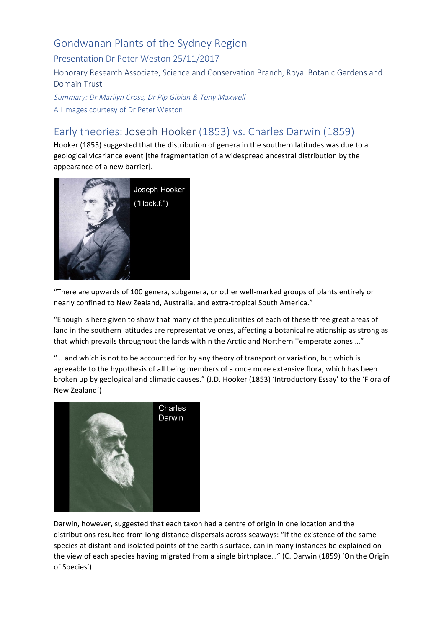## Gondwanan Plants of the Sydney Region

Presentation Dr Peter Weston 25/11/2017

Honorary Research Associate, Science and Conservation Branch, Royal Botanic Gardens and Domain Trust

Summary: Dr Marilyn Cross, Dr Pip Gibian & Tony Maxwell All Images courtesy of Dr Peter Weston

# Early theories: Joseph Hooker (1853) vs. Charles Darwin (1859)

Hooker (1853) suggested that the distribution of genera in the southern latitudes was due to a geological vicariance event [the fragmentation of a widespread ancestral distribution by the appearance of a new barrier].



"There are upwards of 100 genera, subgenera, or other well-marked groups of plants entirely or nearly confined to New Zealand, Australia, and extra-tropical South America."

"Enough is here given to show that many of the peculiarities of each of these three great areas of land in the southern latitudes are representative ones, affecting a botanical relationship as strong as that which prevails throughout the lands within the Arctic and Northern Temperate zones ..."

"... and which is not to be accounted for by any theory of transport or variation, but which is agreeable to the hypothesis of all being members of a once more extensive flora, which has been broken up by geological and climatic causes." (J.D. Hooker (1853) 'Introductory Essay' to the 'Flora of New Zealand')



Darwin, however, suggested that each taxon had a centre of origin in one location and the distributions resulted from long distance dispersals across seaways: "If the existence of the same species at distant and isolated points of the earth's surface, can in many instances be explained on the view of each species having migrated from a single birthplace..." (C. Darwin (1859) 'On the Origin of Species').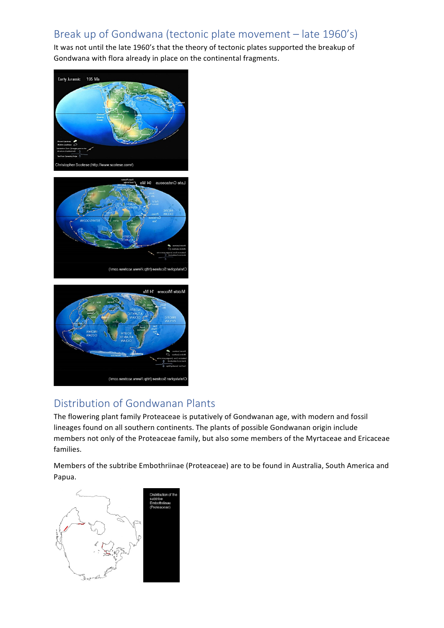## Break up of Gondwana (tectonic plate movement - late 1960's)

It was not until the late 1960's that the theory of tectonic plates supported the breakup of Gondwana with flora already in place on the continental fragments.



### Distribution of Gondwanan Plants

Christopher Scotese (http://www.scotese.com/)

The flowering plant family Proteaceae is putatively of Gondwanan age, with modern and fossil lineages found on all southern continents. The plants of possible Gondwanan origin include members not only of the Proteaceae family, but also some members of the Myrtaceae and Ericaceae families. 

Members of the subtribe Embothriinae (Proteaceae) are to be found in Australia, South America and Papua. 

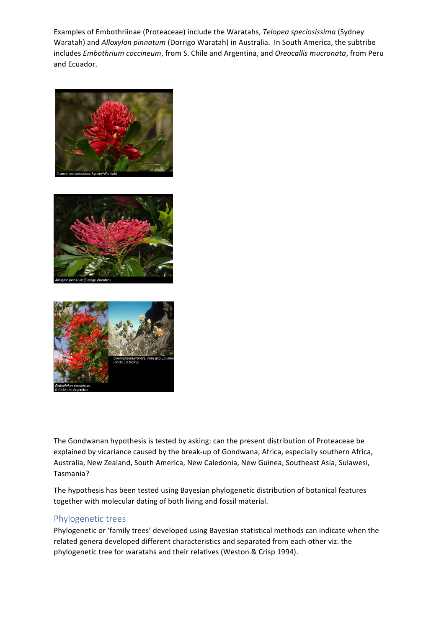Examples of Embothriinae (Proteaceae) include the Waratahs, Telopea speciosissima (Sydney Waratah) and Alloxylon pinnatum (Dorrigo Waratah) in Australia. In South America, the subtribe includes *Embothrium coccineum*, from S. Chile and Argentina, and *Oreocallis mucronata*, from Peru and Ecuador.







The Gondwanan hypothesis is tested by asking: can the present distribution of Proteaceae be explained by vicariance caused by the break-up of Gondwana, Africa, especially southern Africa, Australia, New Zealand, South America, New Caledonia, New Guinea, Southeast Asia, Sulawesi, Tasmania?

The hypothesis has been tested using Bayesian phylogenetic distribution of botanical features together with molecular dating of both living and fossil material.

#### Phylogenetic trees

Phylogenetic or 'family trees' developed using Bayesian statistical methods can indicate when the related genera developed different characteristics and separated from each other viz. the phylogenetic tree for waratahs and their relatives (Weston & Crisp 1994).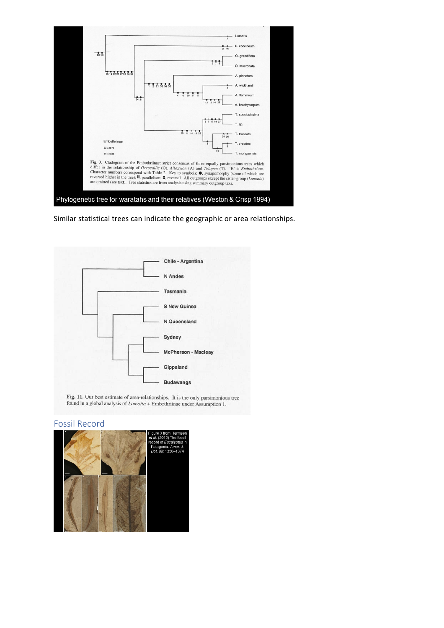

Similar statistical trees can indicate the geographic or area relationships.



Fig. 11. Our best estimate of area-relationships. It is the only parsimonious tree found in a global analysis of *Lomatia* + Embothriinae under Assumption 1.

#### Fossil Record